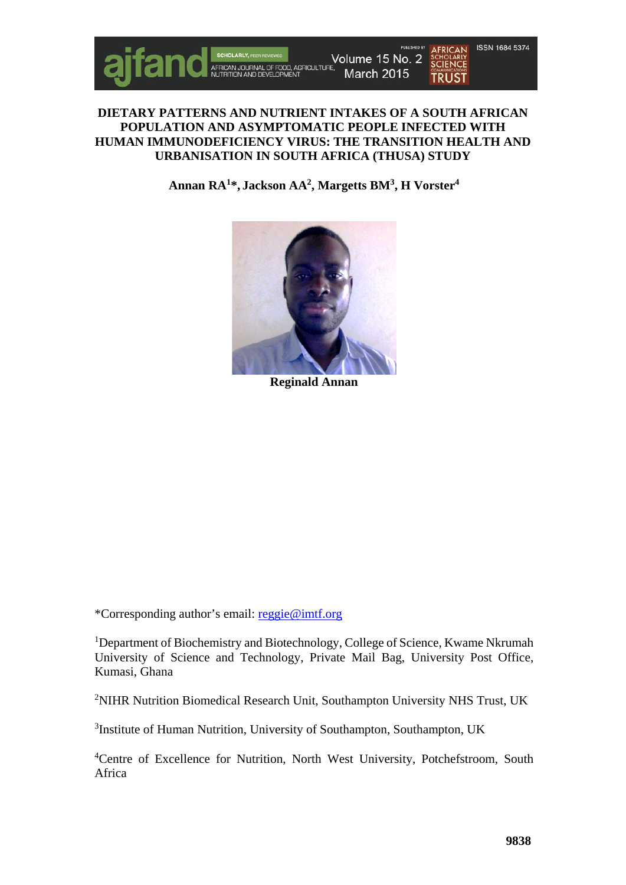

# **DIETARY PATTERNS AND NUTRIENT INTAKES OF A SOUTH AFRICAN POPULATION AND ASYMPTOMATIC PEOPLE INFECTED WITH HUMAN IMMUNODEFICIENCY VIRUS: THE TRANSITION HEALTH AND URBANISATION IN SOUTH AFRICA (THUSA) STUDY**

**Annan RA1\*, Jackson AA2 , Margetts BM3 , H Vorster4**



**Reginald Annan**

\*Corresponding author's email: [reggie@imtf.org](mailto:reggie@imtf.org)

<sup>1</sup>Department of Biochemistry and Biotechnology, College of Science, Kwame Nkrumah University of Science and Technology, Private Mail Bag, University Post Office, Kumasi, Ghana

<sup>2</sup>NIHR Nutrition Biomedical Research Unit, Southampton University NHS Trust, UK

<sup>3</sup>Institute of Human Nutrition, University of Southampton, Southampton, UK

4 Centre of Excellence for Nutrition, North West University, Potchefstroom, South Africa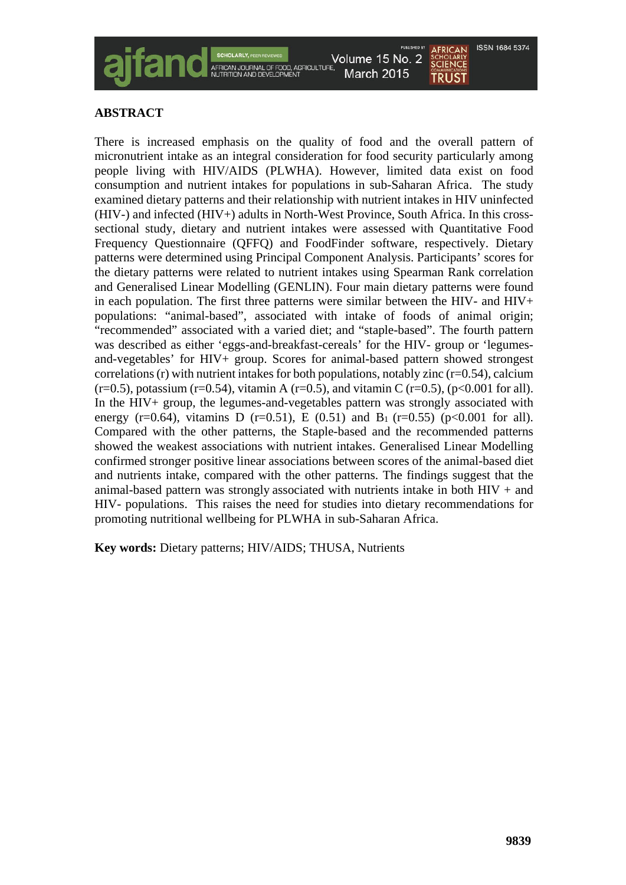

# **ABSTRACT**

There is increased emphasis on the quality of food and the overall pattern of micronutrient intake as an integral consideration for food security particularly among people living with HIV/AIDS (PLWHA). However, limited data exist on food consumption and nutrient intakes for populations in sub-Saharan Africa. The study examined dietary patterns and their relationship with nutrient intakes in HIV uninfected (HIV-) and infected (HIV+) adults in North-West Province, South Africa. In this crosssectional study, dietary and nutrient intakes were assessed with Quantitative Food Frequency Questionnaire (QFFQ) and FoodFinder software, respectively. Dietary patterns were determined using Principal Component Analysis. Participants' scores for the dietary patterns were related to nutrient intakes using Spearman Rank correlation and Generalised Linear Modelling (GENLIN). Four main dietary patterns were found in each population. The first three patterns were similar between the HIV- and HIV+ populations: "animal-based", associated with intake of foods of animal origin; "recommended" associated with a varied diet; and "staple-based". The fourth pattern was described as either 'eggs-and-breakfast-cereals' for the HIV- group or 'legumesand-vegetables' for HIV+ group. Scores for animal-based pattern showed strongest correlations  $(r)$  with nutrient intakes for both populations, notably zinc  $(r=0.54)$ , calcium  $(r=0.5)$ , potassium (r=0.54), vitamin A (r=0.5), and vitamin C (r=0.5), (p<0.001 for all). In the HIV+ group, the legumes-and-vegetables pattern was strongly associated with energy (r=0.64), vitamins D (r=0.51), E (0.51) and B<sub>1</sub> (r=0.55) (p<0.001 for all). Compared with the other patterns, the Staple-based and the recommended patterns showed the weakest associations with nutrient intakes. Generalised Linear Modelling confirmed stronger positive linear associations between scores of the animal-based diet and nutrients intake, compared with the other patterns. The findings suggest that the animal-based pattern was strongly associated with nutrients intake in both  $HIV +$  and HIV- populations. This raises the need for studies into dietary recommendations for promoting nutritional wellbeing for PLWHA in sub-Saharan Africa.

**Key words:** Dietary patterns; HIV/AIDS; THUSA, Nutrients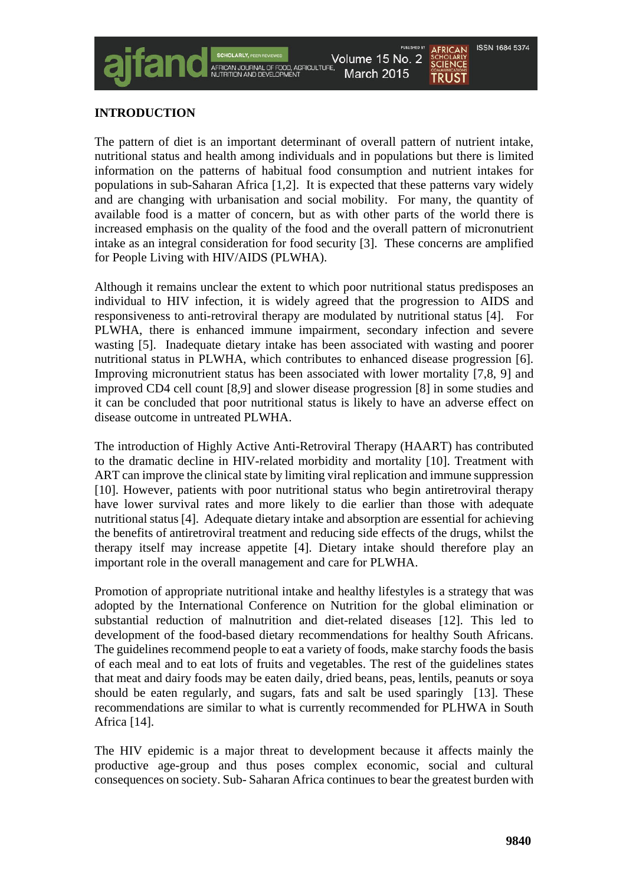#### ISSN 1684 5374 Volume 15 No. 2 **SCIENCE** March 2015 **TRUST**

# **INTRODUCTION**

The pattern of diet is an important determinant of overall pattern of nutrient intake, nutritional status and health among individuals and in populations but there is limited information on the patterns of habitual food consumption and nutrient intakes for populations in sub-Saharan Africa [1,2]. It is expected that these patterns vary widely and are changing with urbanisation and social mobility. For many, the quantity of available food is a matter of concern, but as with other parts of the world there is increased emphasis on the quality of the food and the overall pattern of micronutrient intake as an integral consideration for food security [3]. These concerns are amplified for People Living with HIV/AIDS (PLWHA).

Although it remains unclear the extent to which poor nutritional status predisposes an individual to HIV infection, it is widely agreed that the progression to AIDS and responsiveness to anti-retroviral therapy are modulated by nutritional status [4]. For PLWHA, there is enhanced immune impairment, secondary infection and severe wasting [5]. Inadequate dietary intake has been associated with wasting and poorer nutritional status in PLWHA, which contributes to enhanced disease progression [6]. Improving micronutrient status has been associated with lower mortality [7,8, 9] and improved CD4 cell count [8,9] and slower disease progression [8] in some studies and it can be concluded that poor nutritional status is likely to have an adverse effect on disease outcome in untreated PLWHA.

The introduction of Highly Active Anti-Retroviral Therapy (HAART) has contributed to the dramatic decline in HIV-related morbidity and mortality [10]. Treatment with ART can improve the clinical state by limiting viral replication and immune suppression [10]. However, patients with poor nutritional status who begin antiretroviral therapy have lower survival rates and more likely to die earlier than those with adequate nutritional status [4]. Adequate dietary intake and absorption are essential for achieving the benefits of antiretroviral treatment and reducing side effects of the drugs, whilst the therapy itself may increase appetite [4]. Dietary intake should therefore play an important role in the overall management and care for PLWHA.

Promotion of appropriate nutritional intake and healthy lifestyles is a strategy that was adopted by the International Conference on Nutrition for the global elimination or substantial reduction of malnutrition and diet-related diseases [12]. This led to development of the food-based dietary recommendations for healthy South Africans. The guidelines recommend people to eat a variety of foods, make starchy foods the basis of each meal and to eat lots of fruits and vegetables. The rest of the guidelines states that meat and dairy foods may be eaten daily, dried beans, peas, lentils, peanuts or soya should be eaten regularly, and sugars, fats and salt be used sparingly [13]. These recommendations are similar to what is currently recommended for PLHWA in South Africa [14].

The HIV epidemic is a major threat to development because it affects mainly the productive age-group and thus poses complex economic, social and cultural consequences on society. Sub- Saharan Africa continues to bear the greatest burden with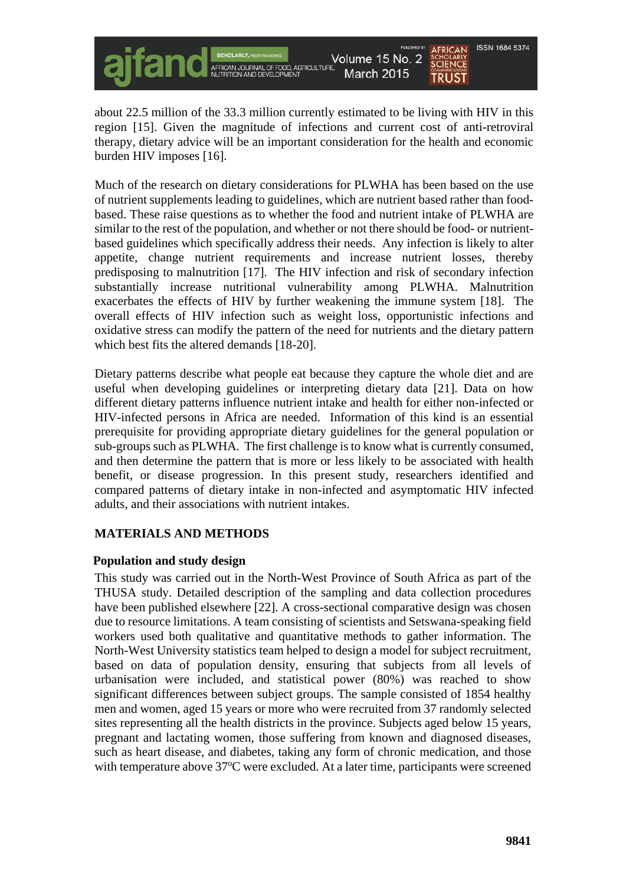ISSN 1684 5374 Volume 15 No. 2 **SCHOLARLY March 2015 TRUST** 

about 22.5 million of the 33.3 million currently estimated to be living with HIV in this region [15]. Given the magnitude of infections and current cost of anti-retroviral therapy, dietary advice will be an important consideration for the health and economic burden HIV imposes [16].

Much of the research on dietary considerations for PLWHA has been based on the use of nutrient supplements leading to guidelines, which are nutrient based rather than foodbased. These raise questions as to whether the food and nutrient intake of PLWHA are similar to the rest of the population, and whether or not there should be food- or nutrientbased guidelines which specifically address their needs. Any infection is likely to alter appetite, change nutrient requirements and increase nutrient losses, thereby predisposing to malnutrition [17]. The HIV infection and risk of secondary infection substantially increase nutritional vulnerability among PLWHA. Malnutrition exacerbates the effects of HIV by further weakening the immune system [18]. The overall effects of HIV infection such as weight loss, opportunistic infections and oxidative stress can modify the pattern of the need for nutrients and the dietary pattern which best fits the altered demands [18-20].

Dietary patterns describe what people eat because they capture the whole diet and are useful when developing guidelines or interpreting dietary data [21]. Data on how different dietary patterns influence nutrient intake and health for either non-infected or HIV-infected persons in Africa are needed. Information of this kind is an essential prerequisite for providing appropriate dietary guidelines for the general population or sub-groups such as PLWHA. The first challenge is to know what is currently consumed, and then determine the pattern that is more or less likely to be associated with health benefit, or disease progression. In this present study, researchers identified and compared patterns of dietary intake in non-infected and asymptomatic HIV infected adults, and their associations with nutrient intakes.

# **MATERIALS AND METHODS**

#### **Population and study design**

This study was carried out in the North-West Province of South Africa as part of the THUSA study. Detailed description of the sampling and data collection procedures have been published elsewhere [22]. A cross-sectional comparative design was chosen due to resource limitations. A team consisting of scientists and Setswana-speaking field workers used both qualitative and quantitative methods to gather information. The North-West University statistics team helped to design a model for subject recruitment, based on data of population density, ensuring that subjects from all levels of urbanisation were included, and statistical power (80%) was reached to show significant differences between subject groups. The sample consisted of 1854 healthy men and women, aged 15 years or more who were recruited from 37 randomly selected sites representing all the health districts in the province. Subjects aged below 15 years, pregnant and lactating women, those suffering from known and diagnosed diseases, such as heart disease, and diabetes, taking any form of chronic medication, and those with temperature above 37°C were excluded. At a later time, participants were screened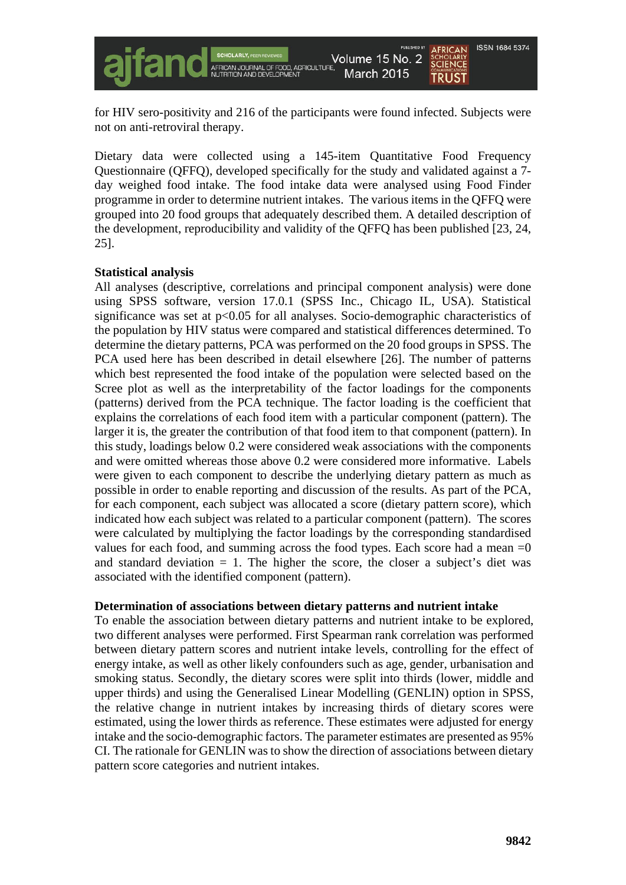

for HIV sero-positivity and 216 of the participants were found infected. Subjects were not on anti-retroviral therapy.

Dietary data were collected using a 145-item Quantitative Food Frequency Questionnaire (QFFQ), developed specifically for the study and validated against a 7 day weighed food intake. The food intake data were analysed using Food Finder programme in order to determine nutrient intakes. The various items in the QFFQ were grouped into 20 food groups that adequately described them. A detailed description of the development, reproducibility and validity of the QFFQ has been published [23, 24, 25].

#### **Statistical analysis**

All analyses (descriptive, correlations and principal component analysis) were done using SPSS software, version 17.0.1 (SPSS Inc., Chicago IL, USA). Statistical significance was set at  $p<0.05$  for all analyses. Socio-demographic characteristics of the population by HIV status were compared and statistical differences determined. To determine the dietary patterns, PCA was performed on the 20 food groups in SPSS. The PCA used here has been described in detail elsewhere [26]. The number of patterns which best represented the food intake of the population were selected based on the Scree plot as well as the interpretability of the factor loadings for the components (patterns) derived from the PCA technique. The factor loading is the coefficient that explains the correlations of each food item with a particular component (pattern). The larger it is, the greater the contribution of that food item to that component (pattern). In this study, loadings below 0.2 were considered weak associations with the components and were omitted whereas those above 0.2 were considered more informative. Labels were given to each component to describe the underlying dietary pattern as much as possible in order to enable reporting and discussion of the results. As part of the PCA, for each component, each subject was allocated a score (dietary pattern score), which indicated how each subject was related to a particular component (pattern). The scores were calculated by multiplying the factor loadings by the corresponding standardised values for each food, and summing across the food types. Each score had a mean  $=0$ and standard deviation  $= 1$ . The higher the score, the closer a subject's diet was associated with the identified component (pattern).

#### **Determination of associations between dietary patterns and nutrient intake**

To enable the association between dietary patterns and nutrient intake to be explored, two different analyses were performed. First Spearman rank correlation was performed between dietary pattern scores and nutrient intake levels, controlling for the effect of energy intake, as well as other likely confounders such as age, gender, urbanisation and smoking status. Secondly, the dietary scores were split into thirds (lower, middle and upper thirds) and using the Generalised Linear Modelling (GENLIN) option in SPSS, the relative change in nutrient intakes by increasing thirds of dietary scores were estimated, using the lower thirds as reference. These estimates were adjusted for energy intake and the socio-demographic factors. The parameter estimates are presented as 95% CI. The rationale for GENLIN was to show the direction of associations between dietary pattern score categories and nutrient intakes.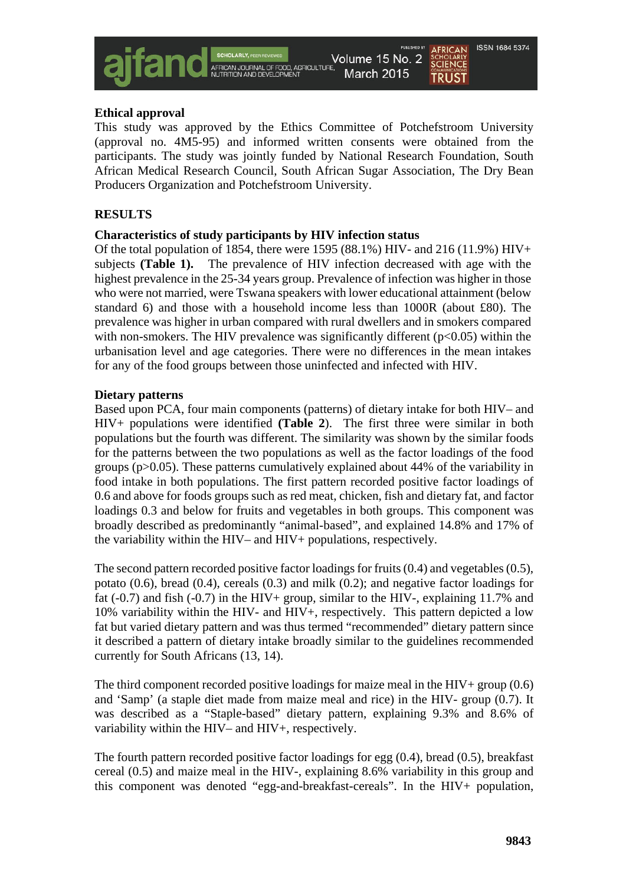

#### **Ethical approval**

This study was approved by the Ethics Committee of Potchefstroom University (approval no. 4M5-95) and informed written consents were obtained from the participants. The study was jointly funded by National Research Foundation, South African Medical Research Council, South African Sugar Association, The Dry Bean Producers Organization and Potchefstroom University.

# **RESULTS**

#### **Characteristics of study participants by HIV infection status**

Of the total population of 1854, there were 1595 (88.1%) HIV- and 216 (11.9%) HIV+ subjects **(Table 1).** The prevalence of HIV infection decreased with age with the highest prevalence in the 25-34 years group. Prevalence of infection was higher in those who were not married, were Tswana speakers with lower educational attainment (below standard 6) and those with a household income less than 1000R (about £80). The prevalence was higher in urban compared with rural dwellers and in smokers compared with non-smokers. The HIV prevalence was significantly different  $(p<0.05)$  within the urbanisation level and age categories. There were no differences in the mean intakes for any of the food groups between those uninfected and infected with HIV.

#### **Dietary patterns**

Based upon PCA, four main components (patterns) of dietary intake for both HIV– and HIV+ populations were identified **(Table 2**). The first three were similar in both populations but the fourth was different. The similarity was shown by the similar foods for the patterns between the two populations as well as the factor loadings of the food groups (p>0.05). These patterns cumulatively explained about 44% of the variability in food intake in both populations. The first pattern recorded positive factor loadings of 0.6 and above for foods groups such as red meat, chicken, fish and dietary fat, and factor loadings 0.3 and below for fruits and vegetables in both groups. This component was broadly described as predominantly "animal-based", and explained 14.8% and 17% of the variability within the HIV– and HIV+ populations, respectively.

The second pattern recorded positive factor loadings for fruits (0.4) and vegetables (0.5), potato  $(0.6)$ , bread  $(0.4)$ , cereals  $(0.3)$  and milk  $(0.2)$ ; and negative factor loadings for fat  $(-0.7)$  and fish  $(-0.7)$  in the HIV+ group, similar to the HIV-, explaining 11.7% and 10% variability within the HIV- and HIV+, respectively. This pattern depicted a low fat but varied dietary pattern and was thus termed "recommended" dietary pattern since it described a pattern of dietary intake broadly similar to the guidelines recommended currently for South Africans (13, 14).

The third component recorded positive loadings for maize meal in the HIV+ group  $(0.6)$ and 'Samp' (a staple diet made from maize meal and rice) in the HIV- group (0.7). It was described as a "Staple-based" dietary pattern, explaining 9.3% and 8.6% of variability within the HIV– and HIV+, respectively.

The fourth pattern recorded positive factor loadings for egg (0.4), bread (0.5), breakfast cereal (0.5) and maize meal in the HIV-, explaining 8.6% variability in this group and this component was denoted "egg-and-breakfast-cereals". In the HIV+ population,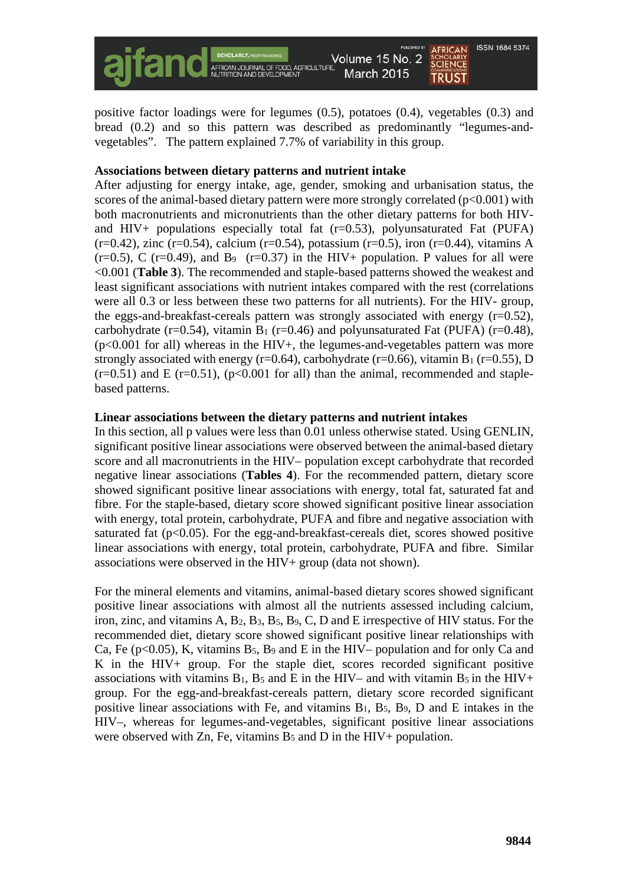

positive factor loadings were for legumes (0.5), potatoes (0.4), vegetables (0.3) and bread (0.2) and so this pattern was described as predominantly "legumes-andvegetables". The pattern explained 7.7% of variability in this group.

### **Associations between dietary patterns and nutrient intake**

After adjusting for energy intake, age, gender, smoking and urbanisation status, the scores of the animal-based dietary pattern were more strongly correlated  $(p<0.001)$  with both macronutrients and micronutrients than the other dietary patterns for both HIVand  $HIV+$  populations especially total fat  $(r=0.53)$ , polyunsaturated Fat (PUFA)  $(r=0.42)$ , zinc (r=0.54), calcium (r=0.54), potassium (r=0.5), iron (r=0.44), vitamins A  $(r=0.5)$ , C  $(r=0.49)$ , and B<sub>9</sub>  $(r=0.37)$  in the HIV+ population. P values for all were <0.001 (**Table 3**). The recommended and staple-based patterns showed the weakest and least significant associations with nutrient intakes compared with the rest (correlations were all 0.3 or less between these two patterns for all nutrients). For the HIV- group, the eggs-and-breakfast-cereals pattern was strongly associated with energy  $(r=0.52)$ , carbohydrate (r=0.54), vitamin B<sub>1</sub> (r=0.46) and polyunsaturated Fat (PUFA) (r=0.48),  $(p<0.001$  for all) whereas in the HIV+, the legumes-and-vegetables pattern was more strongly associated with energy (r=0.64), carbohydrate (r=0.66), vitamin B<sub>1</sub> (r=0.55), D  $(r=0.51)$  and E  $(r=0.51)$ ,  $(p<0.001$  for all) than the animal, recommended and staplebased patterns.

#### **Linear associations between the dietary patterns and nutrient intakes**

In this section, all p values were less than 0.01 unless otherwise stated. Using GENLIN, significant positive linear associations were observed between the animal-based dietary score and all macronutrients in the HIV– population except carbohydrate that recorded negative linear associations (**Tables 4**). For the recommended pattern, dietary score showed significant positive linear associations with energy, total fat, saturated fat and fibre. For the staple-based, dietary score showed significant positive linear association with energy, total protein, carbohydrate, PUFA and fibre and negative association with saturated fat  $(p<0.05)$ . For the egg-and-breakfast-cereals diet, scores showed positive linear associations with energy, total protein, carbohydrate, PUFA and fibre. Similar associations were observed in the HIV+ group (data not shown).

For the mineral elements and vitamins, animal-based dietary scores showed significant positive linear associations with almost all the nutrients assessed including calcium, iron, zinc, and vitamins A, B2, B3, B5, B9, C, D and E irrespective of HIV status. For the recommended diet, dietary score showed significant positive linear relationships with Ca, Fe ( $p<0.05$ ), K, vitamins B<sub>5</sub>, B<sub>9</sub> and E in the HIV– population and for only Ca and K in the HIV+ group. For the staple diet, scores recorded significant positive associations with vitamins  $B_1$ ,  $B_5$  and E in the HIV– and with vitamin  $B_5$  in the HIV+ group. For the egg-and-breakfast-cereals pattern, dietary score recorded significant positive linear associations with Fe, and vitamins  $B_1$ ,  $B_5$ ,  $B_9$ ,  $D$  and  $E$  intakes in the HIV–, whereas for legumes-and-vegetables, significant positive linear associations were observed with Zn, Fe, vitamins  $B_5$  and D in the HIV+ population.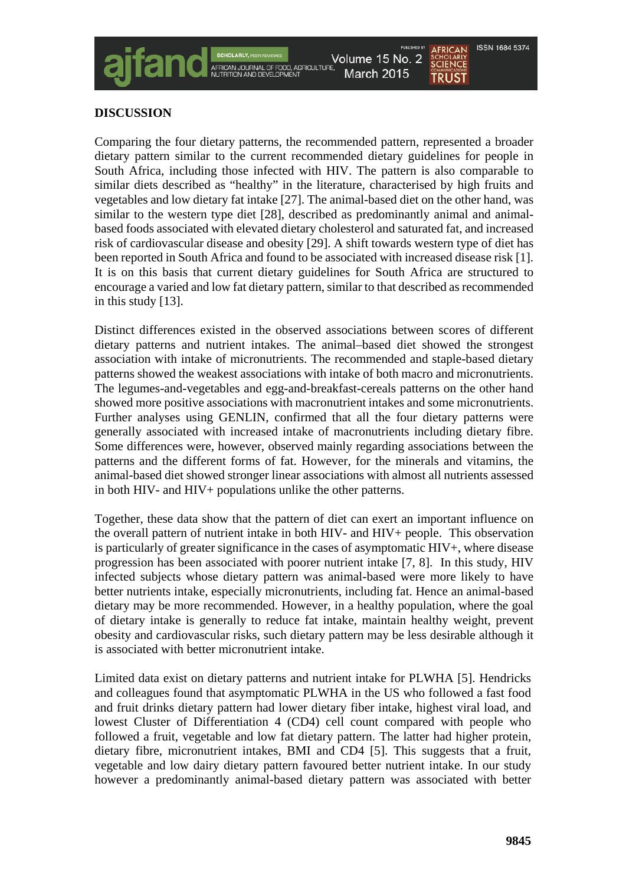

# **DISCUSSION**

Comparing the four dietary patterns, the recommended pattern, represented a broader dietary pattern similar to the current recommended dietary guidelines for people in South Africa, including those infected with HIV. The pattern is also comparable to similar diets described as "healthy" in the literature, characterised by high fruits and vegetables and low dietary fat intake [27]. The animal-based diet on the other hand, was similar to the western type diet [28], described as predominantly animal and animalbased foods associated with elevated dietary cholesterol and saturated fat, and increased risk of cardiovascular disease and obesity [29]. A shift towards western type of diet has been reported in South Africa and found to be associated with increased disease risk [1]. It is on this basis that current dietary guidelines for South Africa are structured to encourage a varied and low fat dietary pattern, similar to that described as recommended in this study [13].

Distinct differences existed in the observed associations between scores of different dietary patterns and nutrient intakes. The animal–based diet showed the strongest association with intake of micronutrients. The recommended and staple-based dietary patterns showed the weakest associations with intake of both macro and micronutrients. The legumes-and-vegetables and egg-and-breakfast-cereals patterns on the other hand showed more positive associations with macronutrient intakes and some micronutrients. Further analyses using GENLIN, confirmed that all the four dietary patterns were generally associated with increased intake of macronutrients including dietary fibre. Some differences were, however, observed mainly regarding associations between the patterns and the different forms of fat. However, for the minerals and vitamins, the animal-based diet showed stronger linear associations with almost all nutrients assessed in both HIV- and HIV+ populations unlike the other patterns.

Together, these data show that the pattern of diet can exert an important influence on the overall pattern of nutrient intake in both HIV- and HIV+ people. This observation is particularly of greater significance in the cases of asymptomatic HIV+, where disease progression has been associated with poorer nutrient intake [7, 8]. In this study, HIV infected subjects whose dietary pattern was animal-based were more likely to have better nutrients intake, especially micronutrients, including fat. Hence an animal-based dietary may be more recommended. However, in a healthy population, where the goal of dietary intake is generally to reduce fat intake, maintain healthy weight, prevent obesity and cardiovascular risks, such dietary pattern may be less desirable although it is associated with better micronutrient intake.

Limited data exist on dietary patterns and nutrient intake for PLWHA [5]. Hendricks and colleagues found that asymptomatic PLWHA in the US who followed a fast food and fruit drinks dietary pattern had lower dietary fiber intake, highest viral load, and lowest Cluster of Differentiation 4 (CD4) cell count compared with people who followed a fruit, vegetable and low fat dietary pattern. The latter had higher protein, dietary fibre, micronutrient intakes, BMI and CD4 [5]. This suggests that a fruit, vegetable and low dairy dietary pattern favoured better nutrient intake. In our study however a predominantly animal-based dietary pattern was associated with better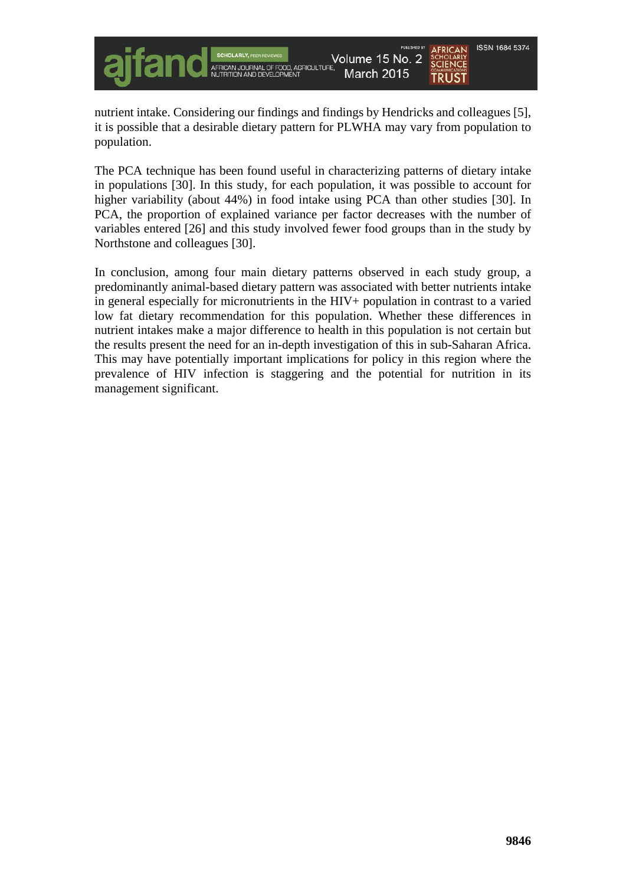

nutrient intake. Considering our findings and findings by Hendricks and colleagues [5], it is possible that a desirable dietary pattern for PLWHA may vary from population to population.

The PCA technique has been found useful in characterizing patterns of dietary intake in populations [30]. In this study, for each population, it was possible to account for higher variability (about 44%) in food intake using PCA than other studies [30]. In PCA, the proportion of explained variance per factor decreases with the number of variables entered [26] and this study involved fewer food groups than in the study by Northstone and colleagues [30].

In conclusion, among four main dietary patterns observed in each study group, a predominantly animal-based dietary pattern was associated with better nutrients intake in general especially for micronutrients in the HIV+ population in contrast to a varied low fat dietary recommendation for this population. Whether these differences in nutrient intakes make a major difference to health in this population is not certain but the results present the need for an in-depth investigation of this in sub-Saharan Africa. This may have potentially important implications for policy in this region where the prevalence of HIV infection is staggering and the potential for nutrition in its management significant.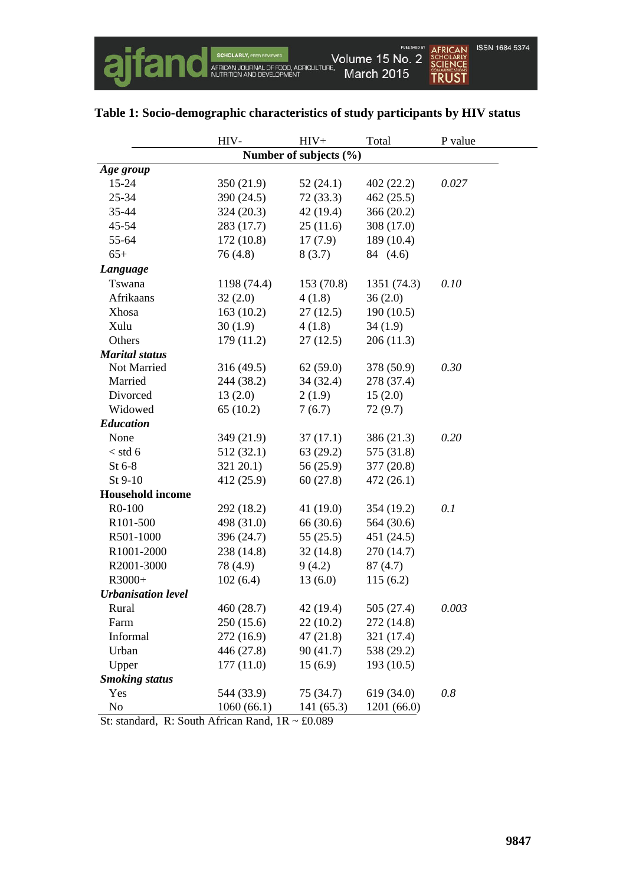|                           | HIV-        | $HIV+$                 | Total       | P value |
|---------------------------|-------------|------------------------|-------------|---------|
|                           |             | Number of subjects (%) |             |         |
| Age group                 |             |                        |             |         |
| 15-24                     | 350 (21.9)  | 52(24.1)               | 402(22.2)   | 0.027   |
| 25-34                     | 390 (24.5)  | 72(33.3)               | 462(25.5)   |         |
| 35-44                     | 324(20.3)   | 42 (19.4)              | 366 (20.2)  |         |
| 45-54                     | 283 (17.7)  | 25(11.6)               | 308 (17.0)  |         |
| 55-64                     | 172 (10.8)  | 17(7.9)                | 189 (10.4)  |         |
| $65+$                     | 76(4.8)     | 8(3.7)                 | 84 (4.6)    |         |
| Language                  |             |                        |             |         |
| Tswana                    | 1198 (74.4) | 153(70.8)              | 1351 (74.3) | 0.10    |
| Afrikaans                 | 32(2.0)     | 4(1.8)                 | 36(2.0)     |         |
| Xhosa                     | 163(10.2)   | 27(12.5)               | 190(10.5)   |         |
| Xulu                      | 30(1.9)     | 4(1.8)                 | 34(1.9)     |         |
| Others                    | 179(11.2)   | 27(12.5)               | 206(11.3)   |         |
| <b>Marital</b> status     |             |                        |             |         |
| Not Married               | 316(49.5)   | 62(59.0)               | 378 (50.9)  | 0.30    |
| Married                   | 244 (38.2)  | 34(32.4)               | 278 (37.4)  |         |
| Divorced                  | 13(2.0)     | 2(1.9)                 | 15(2.0)     |         |
| Widowed                   | 65(10.2)    | 7(6.7)                 | 72(9.7)     |         |
| <b>Education</b>          |             |                        |             |         |
| None                      | 349 (21.9)  | 37(17.1)               | 386 (21.3)  | 0.20    |
| $<$ std 6                 | 512(32.1)   | 63(29.2)               | 575 (31.8)  |         |
| St 6-8                    | $321\,20.1$ | 56 (25.9)              | 377 (20.8)  |         |
| St 9-10                   | 412 (25.9)  | 60(27.8)               | 472(26.1)   |         |
| <b>Household income</b>   |             |                        |             |         |
| R0-100                    | 292 (18.2)  | 41(19.0)               | 354 (19.2)  | 0.1     |
| R <sub>101</sub> -500     | 498 (31.0)  | 66 (30.6)              | 564 (30.6)  |         |
| R501-1000                 | 396 (24.7)  | 55(25.5)               | 451 (24.5)  |         |
| R1001-2000                | 238 (14.8)  | 32(14.8)               | 270 (14.7)  |         |
| R2001-3000                | 78 (4.9)    | 9(4.2)                 | 87(4.7)     |         |
| R3000+                    | 102(6.4)    | 13(6.0)                | 115(6.2)    |         |
| <b>Urbanisation level</b> |             |                        |             |         |
| Rural                     | 460 (28.7)  | 42 (19.4)              | 505 (27.4)  | 0.003   |
| Farm                      | 250(15.6)   | 22(10.2)               | 272 (14.8)  |         |
| Informal                  | 272 (16.9)  | 47(21.8)               | 321 (17.4)  |         |
| Urban                     | 446 (27.8)  | 90(41.7)               | 538 (29.2)  |         |
| Upper                     | 177(11.0)   | 15(6.9)                | 193 (10.5)  |         |
| <b>Smoking status</b>     |             |                        |             |         |
| Yes                       | 544 (33.9)  | 75 (34.7)              | 619 (34.0)  | 0.8     |
| $\rm No$                  | 1060(66.1)  | 141 (65.3)             | 1201 (66.0) |         |

# **Table 1: Socio-demographic characteristics of study participants by HIV status**

St: standard, R: South African Rand, 1R ~ £0.089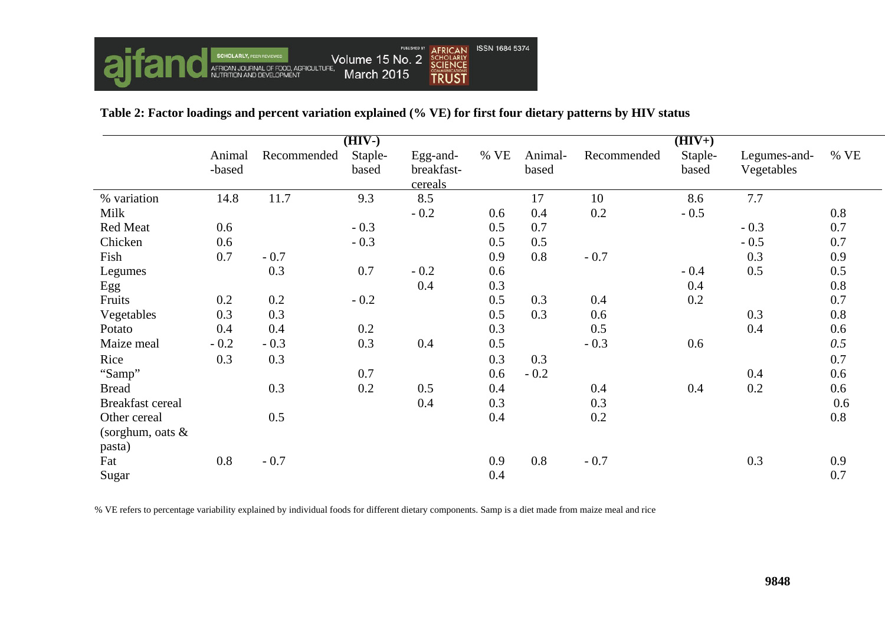

# **Table 2: Factor loadings and percent variation explained (% VE) for first four dietary patterns by HIV status**

|                         | $(HIV-)$         |             |                  |                                   |      | $(HIV+)$         |             |                  |                            |        |
|-------------------------|------------------|-------------|------------------|-----------------------------------|------|------------------|-------------|------------------|----------------------------|--------|
|                         | Animal<br>-based | Recommended | Staple-<br>based | Egg-and-<br>breakfast-<br>cereals | % VE | Animal-<br>based | Recommended | Staple-<br>based | Legumes-and-<br>Vegetables | $%$ VE |
| % variation             | 14.8             | 11.7        | 9.3              | 8.5                               |      | 17               | 10          | 8.6              | 7.7                        |        |
| Milk                    |                  |             |                  | $-0.2$                            | 0.6  | 0.4              | 0.2         | $-0.5$           |                            | 0.8    |
| Red Meat                | 0.6              |             | $-0.3$           |                                   | 0.5  | 0.7              |             |                  | $-0.3$                     | 0.7    |
| Chicken                 | 0.6              |             | $-0.3$           |                                   | 0.5  | 0.5              |             |                  | $-0.5$                     | 0.7    |
| Fish                    | 0.7              | $-0.7$      |                  |                                   | 0.9  | 0.8              | $-0.7$      |                  | 0.3                        | 0.9    |
| Legumes                 |                  | 0.3         | 0.7              | $-0.2$                            | 0.6  |                  |             | $-0.4$           | 0.5                        | 0.5    |
| Egg                     |                  |             |                  | 0.4                               | 0.3  |                  |             | 0.4              |                            | 0.8    |
| Fruits                  | 0.2              | 0.2         | $-0.2$           |                                   | 0.5  | 0.3              | 0.4         | 0.2              |                            | 0.7    |
| Vegetables              | 0.3              | 0.3         |                  |                                   | 0.5  | 0.3              | 0.6         |                  | 0.3                        | 0.8    |
| Potato                  | 0.4              | 0.4         | 0.2              |                                   | 0.3  |                  | 0.5         |                  | 0.4                        | 0.6    |
| Maize meal              | $-0.2$           | $-0.3$      | 0.3              | 0.4                               | 0.5  |                  | $-0.3$      | 0.6              |                            | 0.5    |
| Rice                    | 0.3              | 0.3         |                  |                                   | 0.3  | 0.3              |             |                  |                            | 0.7    |
| "Samp"                  |                  |             | 0.7              |                                   | 0.6  | $-0.2$           |             |                  | 0.4                        | 0.6    |
| <b>Bread</b>            |                  | 0.3         | 0.2              | 0.5                               | 0.4  |                  | 0.4         | 0.4              | 0.2                        | 0.6    |
| <b>Breakfast cereal</b> |                  |             |                  | 0.4                               | 0.3  |                  | 0.3         |                  |                            | 0.6    |
| Other cereal            |                  | 0.5         |                  |                                   | 0.4  |                  | 0.2         |                  |                            | 0.8    |
| (sorghum, oats $&$      |                  |             |                  |                                   |      |                  |             |                  |                            |        |
| pasta)                  |                  |             |                  |                                   |      |                  |             |                  |                            |        |
| Fat                     | 0.8              | $-0.7$      |                  |                                   | 0.9  | 0.8              | $-0.7$      |                  | 0.3                        | 0.9    |
| Sugar                   |                  |             |                  |                                   | 0.4  |                  |             |                  |                            | 0.7    |

% VE refers to percentage variability explained by individual foods for different dietary components. Samp is a diet made from maize meal and rice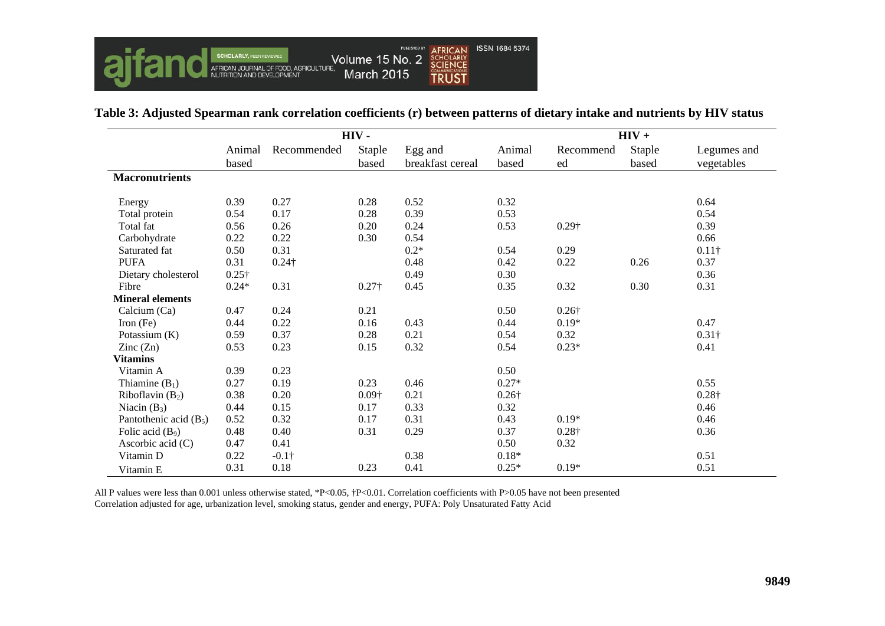

|                          | HIV-            |               |                 | $HIV +$                     |                 |                 |                 |                           |
|--------------------------|-----------------|---------------|-----------------|-----------------------------|-----------------|-----------------|-----------------|---------------------------|
|                          | Animal<br>based | Recommended   | Staple<br>based | Egg and<br>breakfast cereal | Animal<br>based | Recommend<br>ed | Staple<br>based | Legumes and<br>vegetables |
| <b>Macronutrients</b>    |                 |               |                 |                             |                 |                 |                 |                           |
| Energy                   | 0.39            | 0.27          | 0.28            | 0.52                        | 0.32            |                 |                 | 0.64                      |
| Total protein            | 0.54            | 0.17          | 0.28            | 0.39                        | 0.53            |                 |                 | 0.54                      |
| Total fat                | 0.56            | 0.26          | 0.20            | 0.24                        | 0.53            | $0.29\dagger$   |                 | 0.39                      |
| Carbohydrate             | 0.22            | 0.22          | 0.30            | 0.54                        |                 |                 |                 | 0.66                      |
| Saturated fat            | 0.50            | 0.31          |                 | $0.2*$                      | 0.54            | 0.29            |                 | $0.11\dagger$             |
| <b>PUFA</b>              | 0.31            | $0.24\dagger$ |                 | 0.48                        | 0.42            | 0.22            | 0.26            | 0.37                      |
| Dietary cholesterol      | $0.25\dagger$   |               |                 | 0.49                        | 0.30            |                 |                 | 0.36                      |
| Fibre                    | $0.24*$         | 0.31          | $0.27\dagger$   | 0.45                        | 0.35            | 0.32            | 0.30            | 0.31                      |
| <b>Mineral elements</b>  |                 |               |                 |                             |                 |                 |                 |                           |
| Calcium (Ca)             | 0.47            | 0.24          | 0.21            |                             | 0.50            | $0.26\dagger$   |                 |                           |
| Iron $(Fe)$              | 0.44            | 0.22          | 0.16            | 0.43                        | 0.44            | $0.19*$         |                 | 0.47                      |
| Potassium (K)            | 0.59            | 0.37          | 0.28            | 0.21                        | 0.54            | 0.32            |                 | $0.31\dagger$             |
| $\text{Zinc}(\text{Zn})$ | 0.53            | 0.23          | 0.15            | 0.32                        | 0.54            | $0.23*$         |                 | 0.41                      |
| <b>Vitamins</b>          |                 |               |                 |                             |                 |                 |                 |                           |
| Vitamin A                | 0.39            | 0.23          |                 |                             | 0.50            |                 |                 |                           |
| Thiamine $(B_1)$         | 0.27            | 0.19          | 0.23            | 0.46                        | $0.27*$         |                 |                 | 0.55                      |
| Riboflavin $(B_2)$       | 0.38            | 0.20          | $0.09\dagger$   | 0.21                        | $0.26\dagger$   |                 |                 | $0.28\dagger$             |
| Niacin $(B_3)$           | 0.44            | 0.15          | 0.17            | 0.33                        | 0.32            |                 |                 | 0.46                      |
| Pantothenic acid $(B_5)$ | 0.52            | 0.32          | 0.17            | 0.31                        | 0.43            | $0.19*$         |                 | 0.46                      |
| Folic acid $(B_9)$       | 0.48            | 0.40          | 0.31            | 0.29                        | 0.37            | $0.28\dagger$   |                 | 0.36                      |
| Ascorbic acid (C)        | 0.47            | 0.41          |                 |                             | 0.50            | 0.32            |                 |                           |
| Vitamin D                | 0.22            | $-0.1\dagger$ |                 | 0.38                        | $0.18*$         |                 |                 | 0.51                      |
| Vitamin E                | 0.31            | 0.18          | 0.23            | 0.41                        | $0.25*$         | $0.19*$         |                 | 0.51                      |

# **Table 3: Adjusted Spearman rank correlation coefficients (r) between patterns of dietary intake and nutrients by HIV status**

All P values were less than 0.001 unless otherwise stated, \*P<0.05, †P<0.01. Correlation coefficients with P>0.05 have not been presented Correlation adjusted for age, urbanization level, smoking status, gender and energy, PUFA: Poly Unsaturated Fatty Acid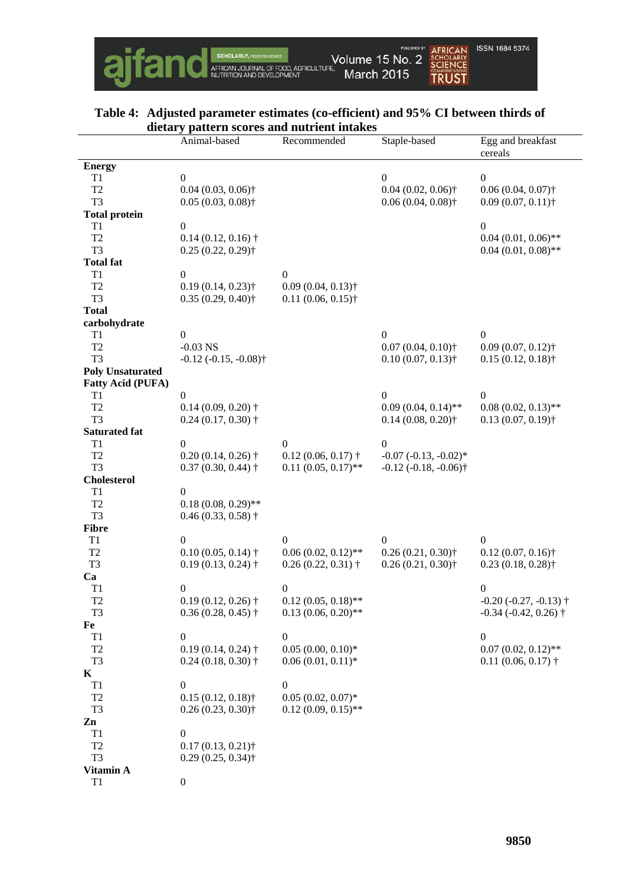

### **Table 4: Adjusted parameter estimates (co-efficient) and 95% CI between thirds of dietary pattern scores and nutrient intakes**

|                                | there is pattern scores and nutrient intakes<br>Animal-based | Recommended                              | Staple-based                          | Egg and breakfast               |
|--------------------------------|--------------------------------------------------------------|------------------------------------------|---------------------------------------|---------------------------------|
|                                |                                                              |                                          |                                       | cereals                         |
| <b>Energy</b>                  |                                                              |                                          |                                       |                                 |
| T1                             | $\overline{0}$                                               |                                          | $\mathbf{0}$                          | $\boldsymbol{0}$                |
| T <sub>2</sub>                 | $0.04(0.03, 0.06)$ <sup>+</sup>                              |                                          | $0.04(0.02, 0.06)$ <sup>+</sup>       | $0.06(0.04, 0.07)$ †            |
| T <sub>3</sub>                 | $0.05(0.03, 0.08)$ <sup>+</sup>                              |                                          | $0.06(0.04, 0.08)$ <sup>+</sup>       | $0.09(0.07, 0.11)$ †            |
| <b>Total protein</b>           |                                                              |                                          |                                       |                                 |
| T <sub>1</sub>                 | $\boldsymbol{0}$                                             |                                          |                                       | $\boldsymbol{0}$                |
| T <sub>2</sub>                 | $0.14(0.12, 0.16)$ <sup>+</sup>                              |                                          |                                       | $0.04(0.01, 0.06)$ **           |
| T <sub>3</sub>                 | $0.25(0.22, 0.29)$ †                                         |                                          |                                       | $0.04(0.01, 0.08)$ **           |
| <b>Total fat</b>               |                                                              |                                          |                                       |                                 |
| T1                             | $\boldsymbol{0}$                                             | $\boldsymbol{0}$                         |                                       |                                 |
| T <sub>2</sub>                 | $0.19(0.14, 0.23)$ †                                         | $0.09(0.04, 0.13)$ †                     |                                       |                                 |
| T <sub>3</sub>                 | $0.35(0.29, 0.40)$ <sup>+</sup>                              | $0.11(0.06, 0.15)$ †                     |                                       |                                 |
| <b>Total</b>                   |                                                              |                                          |                                       |                                 |
| carbohydrate                   |                                                              |                                          |                                       |                                 |
| T1                             | $\boldsymbol{0}$                                             |                                          | $\Omega$                              | $\theta$                        |
| T <sub>2</sub>                 | $-0.03$ NS                                                   |                                          | $0.07(0.04, 0.10)$ †                  | $0.09(0.07, 0.12)$ <sup>+</sup> |
| T <sub>3</sub>                 | $-0.12$ $(-0.15, -0.08)$ <sup>+</sup>                        |                                          | $0.10(0.07, 0.13)$ †                  | $0.15(0.12, 0.18)$ <sup>+</sup> |
| <b>Poly Unsaturated</b>        |                                                              |                                          |                                       |                                 |
| <b>Fatty Acid (PUFA)</b><br>T1 | $\mathbf{0}$                                                 |                                          | $\boldsymbol{0}$                      | $\boldsymbol{0}$                |
| T <sub>2</sub>                 | $0.14(0.09, 0.20)$ †                                         |                                          | $0.09(0.04, 0.14)$ **                 | $0.08(0.02, 0.13)$ **           |
| T <sub>3</sub>                 | $0.24(0.17, 0.30)$ †                                         |                                          | $0.14(0.08, 0.20)$ <sup>+</sup>       | $0.13(0.07, 0.19)$ <sup>+</sup> |
| <b>Saturated fat</b>           |                                                              |                                          |                                       |                                 |
| T1                             | $\boldsymbol{0}$                                             | $\boldsymbol{0}$                         | $\boldsymbol{0}$                      |                                 |
| T <sub>2</sub>                 | $0.20(0.14, 0.26)$ †                                         | $0.12(0.06, 0.17)$ †                     | $-0.07$ $(-0.13, -0.02)$ *            |                                 |
| T <sub>3</sub>                 | $0.37(0.30, 0.44)$ †                                         | $0.11(0.05, 0.17)$ **                    | $-0.12$ $(-0.18, -0.06)$ <sup>+</sup> |                                 |
| <b>Cholesterol</b>             |                                                              |                                          |                                       |                                 |
| T1                             | $\overline{0}$                                               |                                          |                                       |                                 |
| T <sub>2</sub>                 | $0.18(0.08, 0.29)$ **                                        |                                          |                                       |                                 |
| T <sub>3</sub>                 | $0.46(0.33, 0.58)$ †                                         |                                          |                                       |                                 |
| <b>Fibre</b>                   |                                                              |                                          |                                       |                                 |
| T1                             | $\overline{0}$                                               | $\mathbf{0}$                             | 0                                     | 0                               |
| T <sub>2</sub>                 | $0.10(0.05, 0.14)$ †                                         | $0.06(0.02, 0.12)$ **                    | $0.26(0.21, 0.30)$ <sup>+</sup>       | $0.12(0.07, 0.16)$ <sup>+</sup> |
| T <sub>3</sub>                 | $0.19(0.13, 0.24)$ †                                         | $0.26(0.22, 0.31)$ †                     | $0.26(0.21, 0.30)$ †                  | $0.23(0.18, 0.28)$ <sup>+</sup> |
| Ca                             |                                                              |                                          |                                       |                                 |
| T <sub>1</sub>                 | $\boldsymbol{0}$                                             | $\boldsymbol{0}$                         |                                       | $\boldsymbol{0}$                |
| T <sub>2</sub>                 | $0.19(0.12, 0.26)$ †                                         | $0.12(0.05, 0.18)$ **                    |                                       | $-0.20$ $(-0.27, -0.13)$ †      |
| T <sub>3</sub>                 | $0.36(0.28, 0.45)$ †                                         | $0.13(0.06, 0.20)$ **                    |                                       | $-0.34$ $(-0.42, 0.26)$ †       |
| Fe                             |                                                              |                                          |                                       |                                 |
| T1                             | $\boldsymbol{0}$                                             | $\boldsymbol{0}$                         |                                       | $\boldsymbol{0}$                |
| T <sub>2</sub>                 | $0.19(0.14, 0.24)$ †                                         | $0.05(0.00, 0.10)$ *                     |                                       | $0.07(0.02, 0.12)$ **           |
| T <sub>3</sub>                 | $0.24(0.18, 0.30)$ †                                         | $0.06(0.01, 0.11)*$                      |                                       | $0.11(0.06, 0.17)$ †            |
| $\mathbf K$                    |                                                              |                                          |                                       |                                 |
| T1<br>T <sub>2</sub>           | $\overline{0}$<br>$0.15(0.12, 0.18)$ <sup>+</sup>            | $\boldsymbol{0}$<br>$0.05(0.02, 0.07)^*$ |                                       |                                 |
| T <sub>3</sub>                 | $0.26(0.23, 0.30)$ <sup>+</sup>                              | $0.12(0.09, 0.15)$ **                    |                                       |                                 |
| Zn                             |                                                              |                                          |                                       |                                 |
| T1                             | $\boldsymbol{0}$                                             |                                          |                                       |                                 |
| T <sub>2</sub>                 | $0.17(0.13, 0.21)$ †                                         |                                          |                                       |                                 |
| T <sub>3</sub>                 | $0.29(0.25, 0.34)$ †                                         |                                          |                                       |                                 |
| Vitamin A                      |                                                              |                                          |                                       |                                 |
| T1                             | $\boldsymbol{0}$                                             |                                          |                                       |                                 |
|                                |                                                              |                                          |                                       |                                 |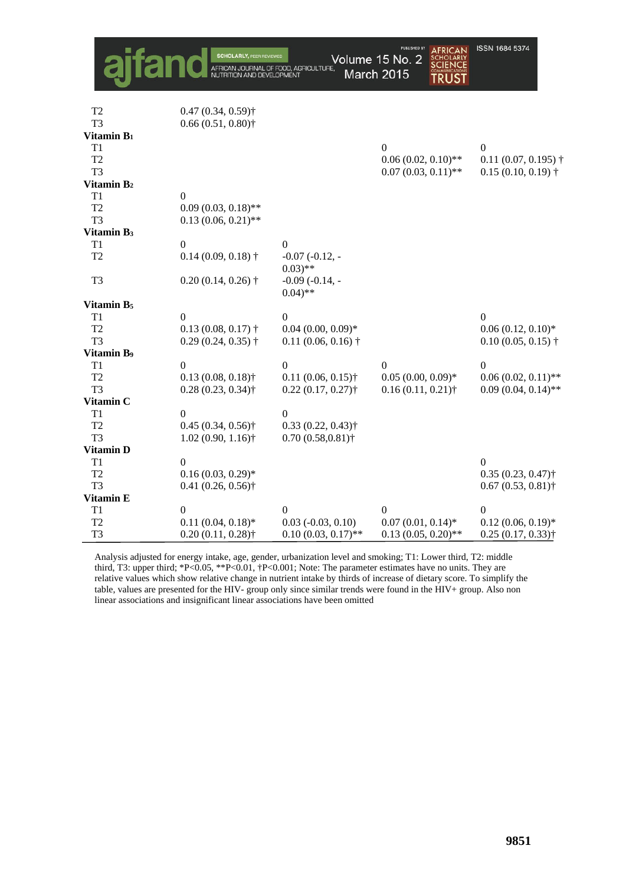|                        |                                 | FOOD, AGRICULTURE.                          | <b>PUBLISHED BY</b><br>AFRICAN<br>Volume 15 No. 2<br><b>March 2015</b><br><b>TRUST</b> | ISSN 1684 5374                  |
|------------------------|---------------------------------|---------------------------------------------|----------------------------------------------------------------------------------------|---------------------------------|
| T <sub>2</sub>         | $0.47(0.34, 0.59)$ <sup>†</sup> |                                             |                                                                                        |                                 |
| T <sub>3</sub>         | $0.66(0.51, 0.80)$ <sup>+</sup> |                                             |                                                                                        |                                 |
| Vitamin B <sub>1</sub> |                                 |                                             |                                                                                        |                                 |
| T1                     |                                 |                                             | $\Omega$                                                                               | $\boldsymbol{0}$                |
| T <sub>2</sub>         |                                 |                                             | $0.06(0.02, 0.10)$ **                                                                  | 0.11(0.07, 0.195)               |
| T <sub>3</sub>         |                                 |                                             | $0.07(0.03, 0.11)$ **                                                                  | $0.15(0.10, 0.19)$ <sup>+</sup> |
| Vitamin B <sub>2</sub> |                                 |                                             |                                                                                        |                                 |
| T1                     | $\boldsymbol{0}$                |                                             |                                                                                        |                                 |
| T <sub>2</sub>         | $0.09(0.03, 0.18)$ **           |                                             |                                                                                        |                                 |
| T <sub>3</sub>         | $0.13(0.06, 0.21)$ **           |                                             |                                                                                        |                                 |
| Vitamin B <sub>3</sub> |                                 |                                             |                                                                                        |                                 |
| T1                     | $\boldsymbol{0}$                | $\boldsymbol{0}$                            |                                                                                        |                                 |
| T <sub>2</sub>         | $0.14(0.09, 0.18)$ <sup>+</sup> | $-0.07(-0.12, -$<br>$(0.03)$ **             |                                                                                        |                                 |
| T <sub>3</sub>         | $0.20(0.14, 0.26)$ †            | $-0.09$ $(-0.14, -$<br>$0.04$ <sup>**</sup> |                                                                                        |                                 |
| Vitamin B <sub>5</sub> |                                 |                                             |                                                                                        |                                 |
| T1                     | $\boldsymbol{0}$                | $\boldsymbol{0}$                            |                                                                                        | $\boldsymbol{0}$                |
| T <sub>2</sub>         | $0.13(0.08, 0.17)$ †            | $0.04$ $(0.00, 0.09)$ *                     |                                                                                        | $0.06(0.12, 0.10)$ *            |
| T <sub>3</sub>         | $0.29(0.24, 0.35)$ †            | $0.11(0.06, 0.16)$ <sup>+</sup>             |                                                                                        | $0.10(0.05, 0.15)$ †            |
| <b>Vitamin B9</b>      |                                 |                                             |                                                                                        |                                 |
| T1                     | $\theta$                        | $\mathbf{0}$                                | $\Omega$                                                                               | $\Omega$                        |
| T <sub>2</sub>         | $0.13(0.08, 0.18)$ <sup>+</sup> | $0.11(0.06, 0.15)$ <sup>+</sup>             | $0.05(0.00, 0.09)*$                                                                    | $0.06(0.02, 0.11)$ **           |
| T <sub>3</sub>         | $0.28(0.23, 0.34)$ †            | $0.22(0.17, 0.27)$ †                        | $0.16(0.11, 0.21)$ †                                                                   | $0.09(0.04, 0.14)$ **           |
| Vitamin C              |                                 |                                             |                                                                                        |                                 |
| T1                     | $\mathbf{0}$                    | $\boldsymbol{0}$                            |                                                                                        |                                 |
| T <sub>2</sub>         | $0.45(0.34, 0.56)$ †            | $0.33(0.22, 0.43)$ <sup>†</sup>             |                                                                                        |                                 |
| T <sub>3</sub>         | $1.02(0.90, 1.16)$ <sup>†</sup> | $0.70(0.58, 0.81)$ †                        |                                                                                        |                                 |
| Vitamin D              |                                 |                                             |                                                                                        |                                 |
| T1                     | $\theta$                        |                                             |                                                                                        | $\overline{0}$                  |
| T <sub>2</sub>         | $0.16(0.03, 0.29)$ *            |                                             |                                                                                        | $0.35(0.23, 0.47)$ <sup>+</sup> |
| T <sub>3</sub>         | $0.41(0.26, 0.56)$ †            |                                             |                                                                                        | $0.67(0.53, 0.81)$ †            |
| <b>Vitamin E</b>       |                                 |                                             |                                                                                        |                                 |
| T1                     | $\boldsymbol{0}$                | $\boldsymbol{0}$                            | $\Omega$                                                                               | $\boldsymbol{0}$                |
| T <sub>2</sub>         | $0.11(0.04, 0.18)$ *            | $0.03$ ( $-0.03$ , $0.10$ )                 | $0.07(0.01, 0.14)$ *                                                                   | $0.12(0.06, 0.19)$ *            |
| T <sub>3</sub>         | $0.20(0.11, 0.28)$ †            | $0.10(0.03, 0.17)$ **                       | $0.13(0.05, 0.20)$ **                                                                  | $0.25(0.17, 0.33)$ <sup>+</sup> |

Analysis adjusted for energy intake, age, gender, urbanization level and smoking; T1: Lower third, T2: middle third, T3: upper third; \*P<0.05, \*\*P<0.01, †P<0.001; Note: The parameter estimates have no units. They are relative values which show relative change in nutrient intake by thirds of increase of dietary score. To simplify the table, values are presented for the HIV- group only since similar trends were found in the HIV+ group. Also non linear associations and insignificant linear associations have been omitted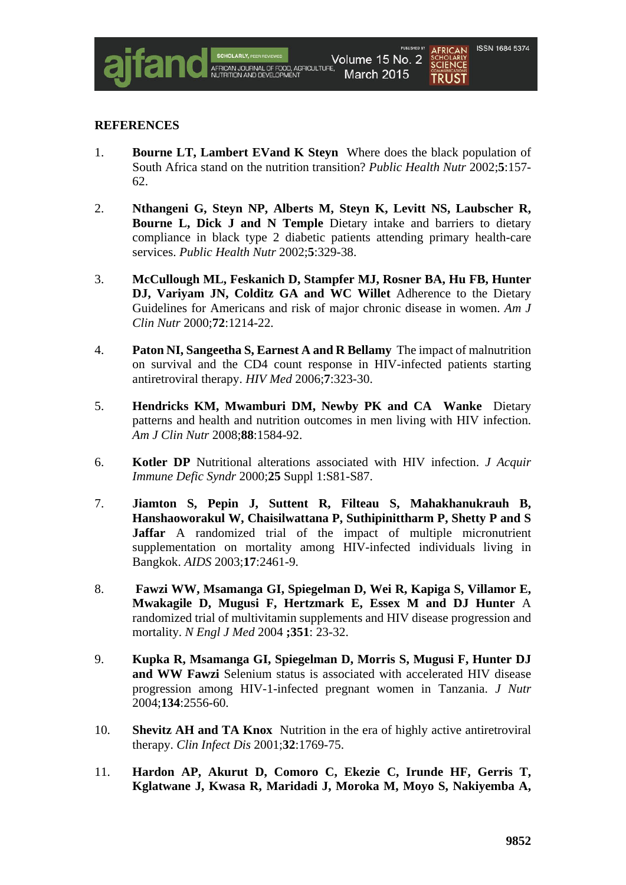

### **REFERENCES**

- 1. **Bourne LT, Lambert EVand K Steyn** Where does the black population of South Africa stand on the nutrition transition? *Public Health Nutr* 2002;**5**:157- 62.
- 2. **Nthangeni G, Steyn NP, Alberts M, Steyn K, Levitt NS, Laubscher R, Bourne L, Dick J and N Temple** Dietary intake and barriers to dietary compliance in black type 2 diabetic patients attending primary health-care services. *Public Health Nutr* 2002;**5**:329-38.
- 3. **McCullough ML, Feskanich D, Stampfer MJ, Rosner BA, Hu FB, Hunter DJ, Variyam JN, Colditz GA and WC Willet** Adherence to the Dietary Guidelines for Americans and risk of major chronic disease in women. *Am J Clin Nutr* 2000;**72**:1214-22.
- 4. **Paton NI, Sangeetha S, Earnest A and R Bellamy** The impact of malnutrition on survival and the CD4 count response in HIV-infected patients starting antiretroviral therapy. *HIV Med* 2006;**7**:323-30.
- 5. **Hendricks KM, Mwamburi DM, Newby PK and CA Wanke** Dietary patterns and health and nutrition outcomes in men living with HIV infection. *Am J Clin Nutr* 2008;**88**:1584-92.
- 6. **Kotler DP** Nutritional alterations associated with HIV infection. *J Acquir Immune Defic Syndr* 2000;**25** Suppl 1:S81-S87.
- 7. **Jiamton S, Pepin J, Suttent R, Filteau S, Mahakhanukrauh B, Hanshaoworakul W, Chaisilwattana P, Suthipinittharm P, Shetty P and S Jaffar** A randomized trial of the impact of multiple micronutrient supplementation on mortality among HIV-infected individuals living in Bangkok. *AIDS* 2003;**17**:2461-9.
- 8. **Fawzi WW, Msamanga GI, Spiegelman D, Wei R, Kapiga S, Villamor E, Mwakagile D, Mugusi F, Hertzmark E, Essex M and DJ Hunter** A randomized trial of multivitamin supplements and HIV disease progression and mortality. *N Engl J Med* 2004 **;351**: 23-32.
- 9. **Kupka R, Msamanga GI, Spiegelman D, Morris S, Mugusi F, Hunter DJ and WW Fawzi** Selenium status is associated with accelerated HIV disease progression among HIV-1-infected pregnant women in Tanzania. *J Nutr* 2004;**134**:2556-60.
- 10. **Shevitz AH and TA Knox** Nutrition in the era of highly active antiretroviral therapy. *Clin Infect Dis* 2001;**32**:1769-75.
- 11. **Hardon AP, Akurut D, Comoro C, Ekezie C, Irunde HF, Gerris T, Kglatwane J, Kwasa R, Maridadi J, Moroka M, Moyo S, Nakiyemba A,**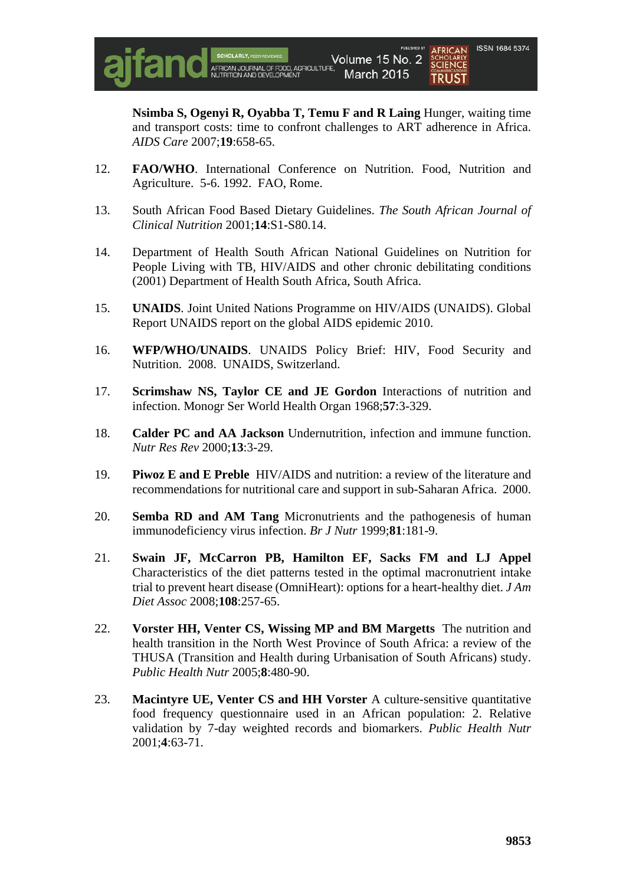

**Nsimba S, Ogenyi R, Oyabba T, Temu F and R Laing** Hunger, waiting time and transport costs: time to confront challenges to ART adherence in Africa. *AIDS Care* 2007;**19**:658-65.

- 12. **FAO/WHO**. International Conference on Nutrition. Food, Nutrition and Agriculture. 5-6. 1992. FAO, Rome.
- 13. South African Food Based Dietary Guidelines. *The South African Journal of Clinical Nutrition* 2001;**14**:S1-S80.14.
- 14. Department of Health South African National Guidelines on Nutrition for People Living with TB, HIV/AIDS and other chronic debilitating conditions (2001) Department of Health South Africa, South Africa.
- 15. **UNAIDS**. Joint United Nations Programme on HIV/AIDS (UNAIDS). Global Report UNAIDS report on the global AIDS epidemic 2010.
- 16. **WFP/WHO/UNAIDS**. UNAIDS Policy Brief: HIV, Food Security and Nutrition. 2008. UNAIDS, Switzerland.
- 17. **Scrimshaw NS, Taylor CE and JE Gordon** Interactions of nutrition and infection. Monogr Ser World Health Organ 1968;**57**:3-329.
- 18. **Calder PC and AA Jackson** Undernutrition, infection and immune function. *Nutr Res Rev* 2000;**13**:3-29.
- 19. **Piwoz E and E Preble** HIV/AIDS and nutrition: a review of the literature and recommendations for nutritional care and support in sub-Saharan Africa. 2000.
- 20. **Semba RD and AM Tang** Micronutrients and the pathogenesis of human immunodeficiency virus infection. *Br J Nutr* 1999;**81**:181-9.
- 21. **Swain JF, McCarron PB, Hamilton EF, Sacks FM and LJ Appel** Characteristics of the diet patterns tested in the optimal macronutrient intake trial to prevent heart disease (OmniHeart): options for a heart-healthy diet. *J Am Diet Assoc* 2008;**108**:257-65.
- 22. **Vorster HH, Venter CS, Wissing MP and BM Margetts** The nutrition and health transition in the North West Province of South Africa: a review of the THUSA (Transition and Health during Urbanisation of South Africans) study. *Public Health Nutr* 2005;**8**:480-90.
- 23. **Macintyre UE, Venter CS and HH Vorster** A culture-sensitive quantitative food frequency questionnaire used in an African population: 2. Relative validation by 7-day weighted records and biomarkers. *Public Health Nutr*  2001;**4**:63-71.